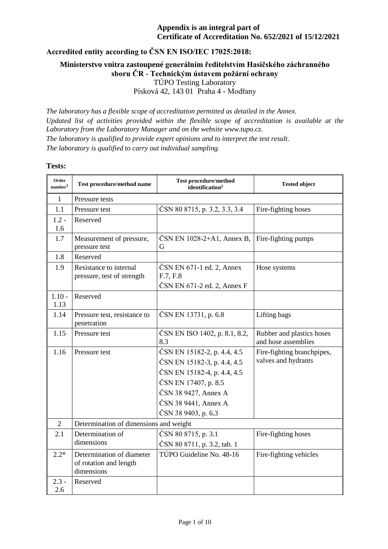**Accredited entity according to ČSN EN ISO/IEC 17025:2018:**

**Ministerstvo vnitra zastoupené generálním ředitelstvím Hasičského záchranného sboru ČR - Technickým ústavem požární ochrany** TÚPO Testing Laboratory Písková 42, 143 01 Praha 4 - Modřany

*The laboratory has a flexible scope of accreditation permitted as detailed in the Annex. Updated list of activities provided within the flexible scope of accreditation is available at the Laboratory from the Laboratory Manager and on the website www.tupo.cz. The laboratory is qualified to provide expert opinions and to interpret the test result. The laboratory is qualified to carry out individual sampling.*

#### **Tests:**

| Order<br>number <sup>1</sup> | Test procedure/method name                                        | <b>Test procedure/method</b><br>identification <sup>2</sup>                                                                                                                              | <b>Tested object</b>                              |
|------------------------------|-------------------------------------------------------------------|------------------------------------------------------------------------------------------------------------------------------------------------------------------------------------------|---------------------------------------------------|
| $\mathbf{1}$                 | Pressure tests                                                    |                                                                                                                                                                                          |                                                   |
| 1.1                          | Pressure test                                                     | ČSN 80 8715, p. 3.2, 3.3, 3.4                                                                                                                                                            | Fire-fighting hoses                               |
| $1.2 -$<br>1.6               | Reserved                                                          |                                                                                                                                                                                          |                                                   |
| 1.7                          | Measurement of pressure,<br>pressure test                         | ČSN EN 1028-2+A1, Annex B,<br>G                                                                                                                                                          | Fire-fighting pumps                               |
| 1.8                          | Reserved                                                          |                                                                                                                                                                                          |                                                   |
| 1.9                          | Resistance to internal<br>pressure, test of strength              | ČSN EN 671-1 ed. 2, Annex<br>F.7, F.8                                                                                                                                                    | Hose systems                                      |
|                              |                                                                   | ČSN EN 671-2 ed. 2, Annex F                                                                                                                                                              |                                                   |
| $1.10 -$<br>1.13             | Reserved                                                          |                                                                                                                                                                                          |                                                   |
| 1.14                         | Pressure test, resistance to<br>penetration                       | ČSN EN 13731, p. 6.8                                                                                                                                                                     | Lifting bags                                      |
| 1.15                         | Pressure test                                                     | ČSN EN ISO 1402, p. 8.1, 8.2,<br>8.3                                                                                                                                                     | Rubber and plastics hoses<br>and hose assemblies  |
| 1.16                         | Pressure test                                                     | ČSN EN 15182-2, p. 4.4, 4.5<br>ČSN EN 15182-3, p. 4.4, 4.5<br>ČSN EN 15182-4, p. 4.4, 4.5<br>ČSN EN 17407, p. 8.5<br>ČSN 38 9427, Annex A<br>ČSN 38 9441, Annex A<br>ČSN 38 9403, p. 6.3 | Fire-fighting branchpipes,<br>valves and hydrants |
| $\overline{2}$               | Determination of dimensions and weight                            |                                                                                                                                                                                          |                                                   |
| 2.1                          | Determination of<br>dimensions                                    | ČSN 80 8715, p. 3.1<br>ČSN 80 8711, p. 3.2, tab. 1                                                                                                                                       | Fire-fighting hoses                               |
| $2.2*$                       | Determination of diameter<br>of rotation and length<br>dimensions | TÚPO Guideline No. 48-16                                                                                                                                                                 | Fire-fighting vehicles                            |
| $2.3 -$<br>2.6               | Reserved                                                          |                                                                                                                                                                                          |                                                   |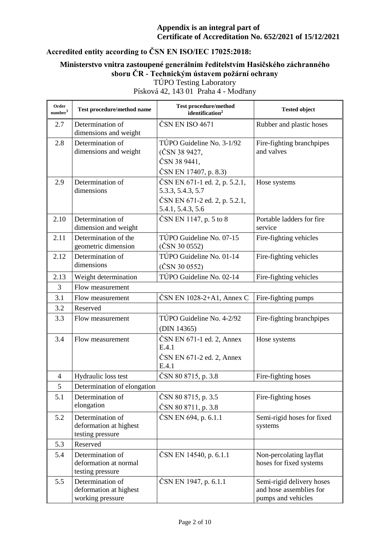# **Accredited entity according to ČSN EN ISO/IEC 17025:2018:**

### **Ministerstvo vnitra zastoupené generálním ředitelstvím Hasičského záchranného sboru ČR - Technickým ústavem požární ochrany** TÚPO Testing Laboratory

| Order<br>number <sup>1</sup> | Test procedure/method name                                     | <b>Test procedure/method</b><br>identification <sup>2</sup>                                              | <b>Tested object</b>                                                       |
|------------------------------|----------------------------------------------------------------|----------------------------------------------------------------------------------------------------------|----------------------------------------------------------------------------|
| 2.7                          | Determination of<br>dimensions and weight                      | ČSN EN ISO 4671                                                                                          | Rubber and plastic hoses                                                   |
| 2.8                          | Determination of<br>dimensions and weight                      | TÚPO Guideline No. 3-1/92<br>(ČSN 38 9427,<br>ČSN 38 9441,<br>ČSN EN 17407, p. 8.3)                      | Fire-fighting branchpipes<br>and valves                                    |
| 2.9                          | Determination of<br>dimensions                                 | ČSN EN 671-1 ed. 2, p. 5.2.1,<br>5.3.3, 5.4.3, 5.7<br>ČSN EN 671-2 ed. 2, p. 5.2.1,<br>5.4.1, 5.4.3, 5.6 | Hose systems                                                               |
| 2.10                         | Determination of<br>dimension and weight                       | ČSN EN 1147, p. 5 to 8                                                                                   | Portable ladders for fire<br>service                                       |
| 2.11                         | Determination of the<br>geometric dimension                    | TÚPO Guideline No. 07-15<br>$(\text{ČSN } 30 0552)$                                                      | Fire-fighting vehicles                                                     |
| 2.12                         | Determination of<br>dimensions                                 | TÚPO Guideline No. 01-14<br>(ČSN 30 0552)                                                                | Fire-fighting vehicles                                                     |
| 2.13                         | Weight determination                                           | TÚPO Guideline No. 02-14                                                                                 | Fire-fighting vehicles                                                     |
| 3                            | Flow measurement                                               |                                                                                                          |                                                                            |
| 3.1                          | Flow measurement                                               | ČSN EN $1028-2+A1$ , Annex C                                                                             | Fire-fighting pumps                                                        |
| 3.2                          | Reserved                                                       |                                                                                                          |                                                                            |
| 3.3                          | Flow measurement                                               | TÚPO Guideline No. 4-2/92<br>(DIN 14365)                                                                 | Fire-fighting branchpipes                                                  |
| 3.4                          | Flow measurement                                               | ČSN EN 671-1 ed. 2, Annex<br>E.4.1<br>ČSN EN 671-2 ed. 2, Annex<br>E.4.1                                 | Hose systems                                                               |
| $\overline{4}$               | Hydraulic loss test                                            | ČSN 80 8715, p. 3.8                                                                                      | Fire-fighting hoses                                                        |
| 5                            | Determination of elongation                                    |                                                                                                          |                                                                            |
| 5.1                          | Determination of<br>elongation                                 | ČSN 80 8715, p. 3.5<br>ČSN 80 8711, p. 3.8                                                               | Fire-fighting hoses                                                        |
| 5.2                          | Determination of<br>deformation at highest<br>testing pressure | ČSN EN 694, p. 6.1.1                                                                                     | Semi-rigid hoses for fixed<br>systems                                      |
| 5.3                          | Reserved                                                       |                                                                                                          |                                                                            |
| 5.4                          | Determination of<br>deformation at normal<br>testing pressure  | ČSN EN 14540, p. 6.1.1                                                                                   | Non-percolating layflat<br>hoses for fixed systems                         |
| 5.5                          | Determination of<br>deformation at highest<br>working pressure | ČSN EN 1947, p. 6.1.1                                                                                    | Semi-rigid delivery hoses<br>and hose assemblies for<br>pumps and vehicles |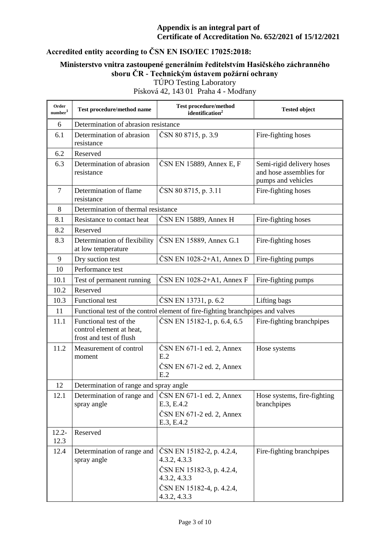# **Accredited entity according to ČSN EN ISO/IEC 17025:2018:**

### **Ministerstvo vnitra zastoupené generálním ředitelstvím Hasičského záchranného sboru ČR - Technickým ústavem požární ochrany** TÚPO Testing Laboratory

| Order<br>$\textit{number}^1$ | Test procedure/method name                                                     | <b>Test procedure/method</b><br>identification <sup>2</sup>                                                                         | <b>Tested object</b>                                                       |  |
|------------------------------|--------------------------------------------------------------------------------|-------------------------------------------------------------------------------------------------------------------------------------|----------------------------------------------------------------------------|--|
| 6                            | Determination of abrasion resistance                                           |                                                                                                                                     |                                                                            |  |
| 6.1                          | Determination of abrasion<br>resistance                                        | ČSN 80 8715, p. 3.9                                                                                                                 | Fire-fighting hoses                                                        |  |
| 6.2                          | Reserved                                                                       |                                                                                                                                     |                                                                            |  |
| 6.3                          | Determination of abrasion<br>resistance                                        | ČSN EN 15889, Annex E, F                                                                                                            | Semi-rigid delivery hoses<br>and hose assemblies for<br>pumps and vehicles |  |
| $\overline{7}$               | Determination of flame<br>resistance                                           | ČSN 80 8715, p. 3.11                                                                                                                | Fire-fighting hoses                                                        |  |
| 8                            | Determination of thermal resistance                                            |                                                                                                                                     |                                                                            |  |
| 8.1                          | Resistance to contact heat                                                     | ČSN EN 15889, Annex H                                                                                                               | Fire-fighting hoses                                                        |  |
| 8.2                          | Reserved                                                                       |                                                                                                                                     |                                                                            |  |
| 8.3                          | Determination of flexibility<br>at low temperature                             | ČSN EN 15889, Annex G.1                                                                                                             | Fire-fighting hoses                                                        |  |
| 9                            | Dry suction test                                                               | ČSN EN 1028-2+A1, Annex D                                                                                                           | Fire-fighting pumps                                                        |  |
| 10                           | Performance test                                                               |                                                                                                                                     |                                                                            |  |
| 10.1                         | Test of permanent running                                                      | ČSN EN 1028-2+A1, Annex F                                                                                                           | Fire-fighting pumps                                                        |  |
| 10.2                         | Reserved                                                                       |                                                                                                                                     |                                                                            |  |
| 10.3                         | <b>Functional test</b>                                                         | ČSN EN 13731, p. 6.2                                                                                                                | Lifting bags                                                               |  |
| 11                           | Functional test of the control element of fire-fighting branchpipes and valves |                                                                                                                                     |                                                                            |  |
| 11.1                         | Functional test of the<br>control element at heat,<br>frost and test of flush  | ČSN EN 15182-1, p. 6.4, 6.5                                                                                                         | Fire-fighting branchpipes                                                  |  |
| 11.2                         | Measurement of control<br>moment                                               | ČSN EN 671-1 ed. 2, Annex<br>E.2<br>ČSN EN 671-2 ed. 2, Annex<br>E.2                                                                | Hose systems                                                               |  |
| 12                           | Determination of range and spray angle                                         |                                                                                                                                     |                                                                            |  |
| 12.1                         | Determination of range and<br>spray angle                                      | ČSN EN 671-1 ed. 2, Annex<br>E.3, E.4.2<br>ČSN EN 671-2 ed. 2, Annex<br>E.3, E.4.2                                                  | Hose systems, fire-fighting<br>branchpipes                                 |  |
| $12.2 -$<br>12.3             | Reserved                                                                       |                                                                                                                                     |                                                                            |  |
| 12.4                         | Determination of range and<br>spray angle                                      | ČSN EN 15182-2, p. 4.2.4,<br>4.3.2, 4.3.3<br>ČSN EN 15182-3, p. 4.2.4,<br>4.3.2, 4.3.3<br>ČSN EN 15182-4, p. 4.2.4,<br>4.3.2, 4.3.3 | Fire-fighting branchpipes                                                  |  |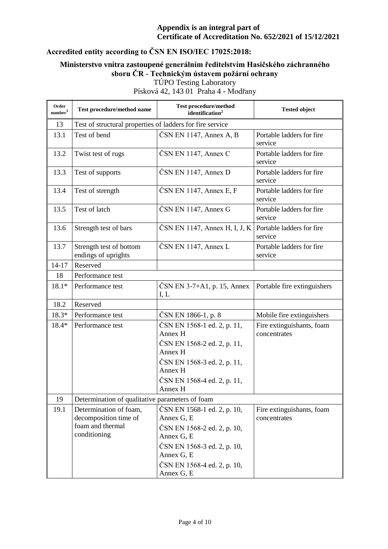# **Accredited entity according to ČSN EN ISO/IEC 17025:2018:**

## **Ministerstvo vnitra zastoupené generálním ředitelstvím Hasičského záchranného sboru ČR - Technickým ústavem požární ochrany** TÚPO Testing Laboratory

| Order<br>number <sup>1</sup> | Test procedure/method name                                                          | <b>Test procedure/method</b><br>identification <sup>2</sup>                                                                                                        | <b>Tested object</b>                      |  |
|------------------------------|-------------------------------------------------------------------------------------|--------------------------------------------------------------------------------------------------------------------------------------------------------------------|-------------------------------------------|--|
| 13                           | Test of structural properties of ladders for fire service                           |                                                                                                                                                                    |                                           |  |
| 13.1                         | Test of bend                                                                        | ČSN EN 1147, Annex A, B                                                                                                                                            | Portable ladders for fire<br>service      |  |
| 13.2                         | Twist test of rugs                                                                  | ČSN EN 1147, Annex C                                                                                                                                               | Portable ladders for fire<br>service      |  |
| 13.3                         | Test of supports                                                                    | ČSN EN 1147, Annex D                                                                                                                                               | Portable ladders for fire<br>service      |  |
| 13.4                         | Test of strength                                                                    | $\text{ČSN}$ EN 1147, Annex E, F                                                                                                                                   | Portable ladders for fire<br>service      |  |
| 13.5                         | Test of latch                                                                       | ČSN EN 1147, Annex G                                                                                                                                               | Portable ladders for fire<br>service      |  |
| 13.6                         | Strength test of bars                                                               | ČSN EN 1147, Annex H, I, J, K                                                                                                                                      | Portable ladders for fire<br>service      |  |
| 13.7                         | Strength test of bottom<br>endings of uprights                                      | ČSN EN 1147, Annex L                                                                                                                                               | Portable ladders for fire<br>service      |  |
| $14 - 17$                    | Reserved                                                                            |                                                                                                                                                                    |                                           |  |
| 18                           | Performance test                                                                    |                                                                                                                                                                    |                                           |  |
| $18.1*$                      | Performance test                                                                    | $\text{ČSN EN } 3-7+A1$ , p. 15, Annex<br>I, L                                                                                                                     | Portable fire extinguishers               |  |
| 18.2                         | Reserved                                                                            |                                                                                                                                                                    |                                           |  |
| 18.3*                        | Performance test                                                                    | ČSN EN 1866-1, p. 8                                                                                                                                                | Mobile fire extinguishers                 |  |
| 18.4*                        | Performance test                                                                    | ČSN EN 1568-1 ed. 2, p. 11,<br>Annex H<br>ČSN EN 1568-2 ed. 2, p. 11,<br>Annex H<br>ČSN EN 1568-3 ed. 2, p. 11,<br>Annex H                                         | Fire extinguishants, foam<br>concentrates |  |
|                              |                                                                                     | ČSN EN 1568-4 ed. 2, p. 11,<br>Annex H                                                                                                                             |                                           |  |
| 19                           | Determination of qualitative parameters of foam                                     |                                                                                                                                                                    |                                           |  |
| 19.1                         | Determination of foam,<br>decomposition time of<br>foam and thermal<br>conditioning | ČSN EN 1568-1 ed. 2, p. 10,<br>Annex G, E<br>ČSN EN 1568-2 ed. 2, p. 10,<br>Annex G, E<br>ČSN EN 1568-3 ed. 2, p. 10,<br>Annex G, E<br>ČSN EN 1568-4 ed. 2, p. 10, | Fire extinguishants, foam<br>concentrates |  |
|                              |                                                                                     | Annex G, E                                                                                                                                                         |                                           |  |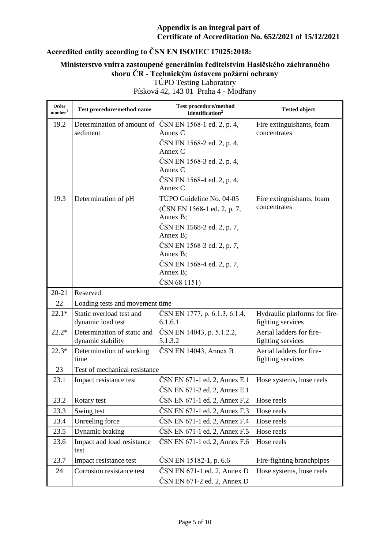# **Accredited entity according to ČSN EN ISO/IEC 17025:2018:**

# **Ministerstvo vnitra zastoupené generálním ředitelstvím Hasičského záchranného sboru ČR - Technickým ústavem požární ochrany**

TÚPO Testing Laboratory Písková 42, 143 01 Praha 4 - Modřany

| Order<br>number <sup>1</sup> | Test procedure/method name                       | <b>Test procedure/method</b><br>identification <sup>2</sup> | <b>Tested object</b>                               |
|------------------------------|--------------------------------------------------|-------------------------------------------------------------|----------------------------------------------------|
| 19.2                         | Determination of amount of<br>sediment           | ČSN EN 1568-1 ed. 2, p. 4,<br>Annex $C$                     | Fire extinguishants, foam<br>concentrates          |
|                              |                                                  | ČSN EN 1568-2 ed. 2, p. 4,<br>Annex C                       |                                                    |
|                              |                                                  | ČSN EN 1568-3 ed. 2, p. 4,                                  |                                                    |
|                              |                                                  | Annex C                                                     |                                                    |
|                              |                                                  | ČSN EN 1568-4 ed. 2, p. 4,<br>Annex C                       |                                                    |
| 19.3                         | Determination of pH                              | TÚPO Guideline No. 04-05                                    | Fire extinguishants, foam                          |
|                              |                                                  | (ČSN EN 1568-1 ed. 2, p. 7,<br>Annex B;                     | concentrates                                       |
|                              |                                                  | ČSN EN 1568-2 ed. 2, p. 7,<br>Annex B;                      |                                                    |
|                              |                                                  | ČSN EN 1568-3 ed. 2, p. 7,<br>Annex B;                      |                                                    |
|                              |                                                  | ČSN EN 1568-4 ed. 2, p. 7,                                  |                                                    |
|                              |                                                  | Annex B;                                                    |                                                    |
|                              |                                                  | ČSN 68 1151)                                                |                                                    |
| $20 - 21$                    | Reserved                                         |                                                             |                                                    |
| 22                           | Loading tests and movement time                  |                                                             |                                                    |
| $22.1*$                      | Static overload test and<br>dynamic load test    | ČSN EN 1777, p. 6.1.3, 6.1.4,<br>6.1.6.1                    | Hydraulic platforms for fire-<br>fighting services |
| $22.2*$                      | Determination of static and<br>dynamic stability | ČSN EN 14043, p. 5.1.2.2,<br>5.1.3.2                        | Aerial ladders for fire-<br>fighting services      |
| $22.3*$                      | Determination of working<br>time                 | $\text{ČSN}$ EN 14043, Annex B                              | Aerial ladders for fire-<br>fighting services      |
| 23                           | Test of mechanical resistance                    |                                                             |                                                    |
| 23.1                         | Impact resistance test                           | ČSN EN 671-1 ed. 2, Annex E.1                               | Hose systems, hose reels                           |
|                              |                                                  | ČSN EN 671-2 ed. 2, Annex E.1                               |                                                    |
| 23.2                         | Rotary test                                      | ČSN EN 671-1 ed. 2, Annex F.2                               | Hose reels                                         |
| 23.3                         | Swing test                                       | ČSN EN 671-1 ed. 2, Annex F.3                               | Hose reels                                         |
| 23.4                         | Unreeling force                                  | ČSN EN 671-1 ed. 2, Annex F.4                               | Hose reels                                         |
| 23.5                         | Dynamic braking                                  | ČSN EN 671-1 ed. 2, Annex F.5                               | Hose reels                                         |
| 23.6                         | Impact and load resistance<br>test               | ČSN EN 671-1 ed. 2, Annex F.6                               | Hose reels                                         |
| 23.7                         | Impact resistance test                           | ČSN EN 15182-1, p. 6.6                                      | Fire-fighting branchpipes                          |
| 24                           | Corrosion resistance test                        | $\text{ČSN EN } 671-1$ ed. 2, Annex D                       | Hose systems, hose reels                           |
|                              |                                                  | $\text{ČSN}$ EN 671-2 ed. 2, Annex D                        |                                                    |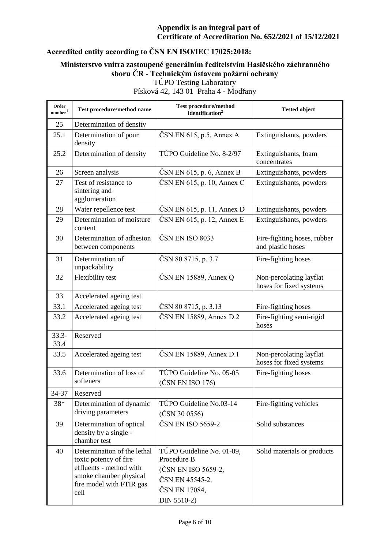# **Accredited entity according to ČSN EN ISO/IEC 17025:2018:**

### **Ministerstvo vnitra zastoupené generálním ředitelstvím Hasičského záchranného sboru ČR - Technickým ústavem požární ochrany** TÚPO Testing Laboratory

| Order<br>number <sup>1</sup> | Test procedure/method name                                                                                                                    | Test procedure/method<br>identification <sup>2</sup>                                                               | <b>Tested object</b>                               |
|------------------------------|-----------------------------------------------------------------------------------------------------------------------------------------------|--------------------------------------------------------------------------------------------------------------------|----------------------------------------------------|
| 25                           | Determination of density                                                                                                                      |                                                                                                                    |                                                    |
| 25.1                         | Determination of pour<br>density                                                                                                              | $\text{ČSN EN } 615$ , p.5, Annex A                                                                                | Extinguishants, powders                            |
| 25.2                         | Determination of density                                                                                                                      | TÚPO Guideline No. 8-2/97                                                                                          | Extinguishants, foam<br>concentrates               |
| 26                           | Screen analysis                                                                                                                               | $\text{ČSN EN } 615$ , p. 6, Annex B                                                                               | Extinguishants, powders                            |
| 27                           | Test of resistance to<br>sintering and<br>agglomeration                                                                                       | $\text{ČSN EN } 615$ , p. 10, Annex C                                                                              | Extinguishants, powders                            |
| 28                           | Water repellence test                                                                                                                         | ČSN EN 615, p. 11, Annex D                                                                                         | Extinguishants, powders                            |
| 29                           | Determination of moisture<br>content                                                                                                          | $\text{ČSN}$ EN 615, p. 12, Annex E                                                                                | Extinguishants, powders                            |
| 30                           | Determination of adhesion<br>between components                                                                                               | ČSN EN ISO 8033                                                                                                    | Fire-fighting hoses, rubber<br>and plastic hoses   |
| 31                           | Determination of<br>unpackability                                                                                                             | ČSN 80 8715, p. 3.7                                                                                                | Fire-fighting hoses                                |
| 32                           | Flexibility test                                                                                                                              | $\text{ČSN}$ EN 15889, Annex Q                                                                                     | Non-percolating layflat<br>hoses for fixed systems |
| 33                           | Accelerated ageing test                                                                                                                       |                                                                                                                    |                                                    |
| 33.1                         | Accelerated ageing test                                                                                                                       | ČSN 80 8715, p. 3.13                                                                                               | Fire-fighting hoses                                |
| 33.2                         | Accelerated ageing test                                                                                                                       | ČSN EN 15889, Annex D.2                                                                                            | Fire-fighting semi-rigid<br>hoses                  |
| $33.3 -$<br>33.4             | Reserved                                                                                                                                      |                                                                                                                    |                                                    |
| 33.5                         | Accelerated ageing test                                                                                                                       | ČSN EN 15889, Annex D.1                                                                                            | Non-percolating layflat<br>hoses for fixed systems |
| 33.6                         | Determination of loss of<br>softeners                                                                                                         | TÚPO Guideline No. 05-05<br>(ČSN EN ISO 176)                                                                       | Fire-fighting hoses                                |
| 34-37                        | Reserved                                                                                                                                      |                                                                                                                    |                                                    |
| 38*                          | Determination of dynamic<br>driving parameters                                                                                                | TÚPO Guideline No.03-14<br>(ČSN 30 0556)                                                                           | Fire-fighting vehicles                             |
| 39                           | Determination of optical<br>density by a single -<br>chamber test                                                                             | ČSN EN ISO 5659-2                                                                                                  | Solid substances                                   |
| 40                           | Determination of the lethal<br>toxic potency of fire<br>effluents - method with<br>smoke chamber physical<br>fire model with FTIR gas<br>cell | TÚPO Guideline No. 01-09,<br>Procedure B<br>(ČSN EN ISO 5659-2,<br>ČSN EN 45545-2,<br>ČSN EN 17084,<br>DIN 5510-2) | Solid materials or products                        |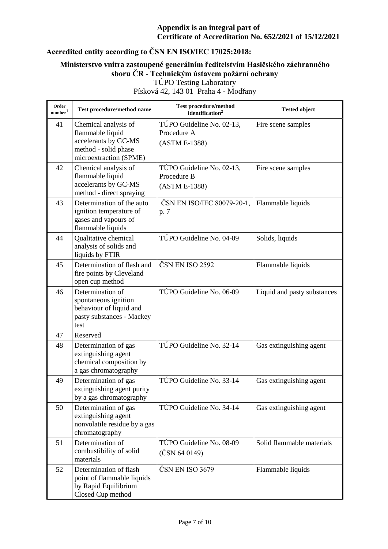# **Accredited entity according to ČSN EN ISO/IEC 17025:2018:**

### **Ministerstvo vnitra zastoupené generálním ředitelstvím Hasičského záchranného sboru ČR - Technickým ústavem požární ochrany** TÚPO Testing Laboratory

| Order<br>number <sup>1</sup> | Test procedure/method name                                                                                         | <b>Test procedure/method</b><br>identification <sup>2</sup> | <b>Tested object</b>        |
|------------------------------|--------------------------------------------------------------------------------------------------------------------|-------------------------------------------------------------|-----------------------------|
| 41                           | Chemical analysis of<br>flammable liquid<br>accelerants by GC-MS<br>method - solid phase<br>microextraction (SPME) | TÚPO Guideline No. 02-13,<br>Procedure A<br>(ASTM E-1388)   | Fire scene samples          |
| 42                           | Chemical analysis of<br>flammable liquid<br>accelerants by GC-MS<br>method - direct spraying                       | TÚPO Guideline No. 02-13,<br>Procedure B<br>(ASTM E-1388)   | Fire scene samples          |
| 43                           | Determination of the auto<br>ignition temperature of<br>gases and vapours of<br>flammable liquids                  | ČSN EN ISO/IEC 80079-20-1,<br>p. 7                          | Flammable liquids           |
| 44                           | Qualitative chemical<br>analysis of solids and<br>liquids by FTIR                                                  | TÚPO Guideline No. 04-09                                    | Solids, liquids             |
| 45                           | Determination of flash and<br>fire points by Cleveland<br>open cup method                                          | ČSN EN ISO 2592                                             | Flammable liquids           |
| 46                           | Determination of<br>spontaneous ignition<br>behaviour of liquid and<br>pasty substances - Mackey<br>test           | TÚPO Guideline No. 06-09                                    | Liquid and pasty substances |
| 47                           | Reserved                                                                                                           |                                                             |                             |
| 48                           | Determination of gas<br>extinguishing agent<br>chemical composition by<br>a gas chromatography                     | TÚPO Guideline No. 32-14                                    | Gas extinguishing agent     |
| 49                           | Determination of gas<br>extinguishing agent purity<br>by a gas chromatography                                      | TÚPO Guideline No. 33-14                                    | Gas extinguishing agent     |
| 50                           | Determination of gas<br>extinguishing agent<br>nonvolatile residue by a gas<br>chromatography                      | TÚPO Guideline No. 34-14                                    | Gas extinguishing agent     |
| 51                           | Determination of<br>combustibility of solid<br>materials                                                           | TÚPO Guideline No. 08-09<br>(ČSN 64 0149)                   | Solid flammable materials   |
| 52                           | Determination of flash<br>point of flammable liquids<br>by Rapid Equilibrium<br>Closed Cup method                  | ČSN EN ISO 3679                                             | Flammable liquids           |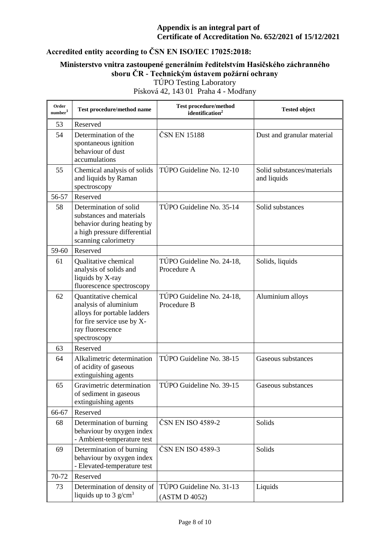# **Accredited entity according to ČSN EN ISO/IEC 17025:2018:**

### **Ministerstvo vnitra zastoupené generálním ředitelstvím Hasičského záchranného sboru ČR - Technickým ústavem požární ochrany** TÚPO Testing Laboratory

| Order<br>$\textit{number}^1$ | Test procedure/method name                                                                                                                      | <b>Test procedure/method</b><br>identification <sup>2</sup> | <b>Tested object</b>                      |
|------------------------------|-------------------------------------------------------------------------------------------------------------------------------------------------|-------------------------------------------------------------|-------------------------------------------|
| 53                           | Reserved                                                                                                                                        |                                                             |                                           |
| 54                           | Determination of the<br>spontaneous ignition<br>behaviour of dust<br>accumulations                                                              | ČSN EN 15188                                                | Dust and granular material                |
| 55                           | Chemical analysis of solids<br>and liquids by Raman<br>spectroscopy                                                                             | TÚPO Guideline No. 12-10                                    | Solid substances/materials<br>and liquids |
| 56-57                        | Reserved                                                                                                                                        |                                                             |                                           |
| 58                           | Determination of solid<br>substances and materials<br>behavior during heating by<br>a high pressure differential<br>scanning calorimetry        | TÚPO Guideline No. 35-14                                    | Solid substances                          |
| 59-60                        | Reserved                                                                                                                                        |                                                             |                                           |
| 61                           | Qualitative chemical<br>analysis of solids and<br>liquids by X-ray<br>fluorescence spectroscopy                                                 | TÚPO Guideline No. 24-18,<br>Procedure A                    | Solids, liquids                           |
| 62                           | Quantitative chemical<br>analysis of aluminium<br>alloys for portable ladders<br>for fire service use by X-<br>ray fluorescence<br>spectroscopy | TÚPO Guideline No. 24-18,<br>Procedure B                    | Aluminium alloys                          |
| 63                           | Reserved                                                                                                                                        |                                                             |                                           |
| 64                           | Alkalimetric determination<br>of acidity of gaseous<br>extinguishing agents                                                                     | TÚPO Guideline No. 38-15                                    | Gaseous substances                        |
| 65                           | Gravimetric determination<br>of sediment in gaseous<br>extinguishing agents                                                                     | TÚPO Guideline No. 39-15                                    | Gaseous substances                        |
| 66-67                        | Reserved                                                                                                                                        |                                                             |                                           |
| 68                           | Determination of burning<br>behaviour by oxygen index<br>- Ambient-temperature test                                                             | ČSN EN ISO 4589-2                                           | Solids                                    |
| 69                           | Determination of burning<br>behaviour by oxygen index<br>- Elevated-temperature test                                                            | ČSN EN ISO 4589-3                                           | Solids                                    |
| 70-72                        | Reserved                                                                                                                                        |                                                             |                                           |
| 73                           | Determination of density of<br>liquids up to $3 \text{ g/cm}^3$                                                                                 | TÚPO Guideline No. 31-13<br>(ASTM D 4052)                   | Liquids                                   |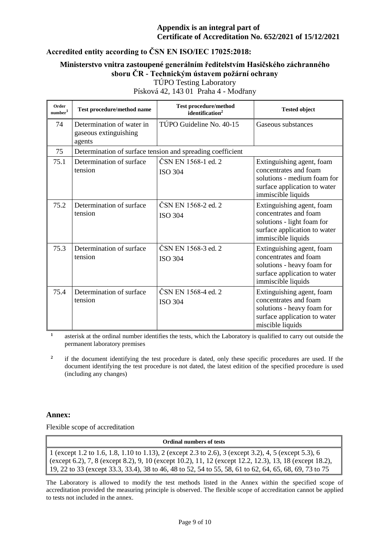# **Accredited entity according to ČSN EN ISO/IEC 17025:2018:**

## **Ministerstvo vnitra zastoupené generálním ředitelstvím Hasičského záchranného sboru ČR - Technickým ústavem požární ochrany**

TÚPO Testing Laboratory

Písková 42, 143 01 Praha 4 - Modřany

| Order<br>number <sup>1</sup> | Test procedure/method name                                   | <b>Test procedure/method</b><br>identification <sup>2</sup> | <b>Tested object</b>                                                                                                                    |
|------------------------------|--------------------------------------------------------------|-------------------------------------------------------------|-----------------------------------------------------------------------------------------------------------------------------------------|
| 74                           | Determination of water in<br>gaseous extinguishing<br>agents | TÚPO Guideline No. 40-15                                    | Gaseous substances                                                                                                                      |
| 75                           |                                                              | Determination of surface tension and spreading coefficient  |                                                                                                                                         |
| 75.1                         | Determination of surface<br>tension                          | ČSN EN 1568-1 ed. 2<br><b>ISO 304</b>                       | Extinguishing agent, foam<br>concentrates and foam<br>solutions - medium foam for<br>surface application to water<br>immiscible liquids |
| 75.2                         | Determination of surface<br>tension                          | ČSN EN 1568-2 ed. 2<br><b>ISO 304</b>                       | Extinguishing agent, foam<br>concentrates and foam<br>solutions - light foam for<br>surface application to water<br>immiscible liquids  |
| 75.3                         | Determination of surface<br>tension                          | ČSN EN 1568-3 ed. 2<br><b>ISO 304</b>                       | Extinguishing agent, foam<br>concentrates and foam<br>solutions - heavy foam for<br>surface application to water<br>immiscible liquids  |
| 75.4                         | Determination of surface<br>tension                          | ČSN EN 1568-4 ed. 2<br><b>ISO 304</b>                       | Extinguishing agent, foam<br>concentrates and foam<br>solutions - heavy foam for<br>surface application to water<br>miscible liquids    |

**1** asterisk at the ordinal number identifies the tests, which the Laboratory is qualified to carry out outside the permanent laboratory premises

**2** if the document identifying the test procedure is dated, only these specific procedures are used. If the document identifying the test procedure is not dated, the latest edition of the specified procedure is used (including any changes)

#### **Annex:**

Flexible scope of accreditation

**Ordinal numbers of tests**

1 (except 1.2 to 1.6, 1.8, 1.10 to 1.13), 2 (except 2.3 to 2.6), 3 (except 3.2), 4, 5 (except 5.3), 6 (except 6.2), 7, 8 (except 8.2), 9, 10 (except 10.2), 11, 12 (except 12.2, 12.3), 13, 18 (except 18.2), 19, 22 to 33 (except 33.3, 33.4), 38 to 46, 48 to 52, 54 to 55, 58, 61 to 62, 64, 65, 68, 69, 73 to 75

The Laboratory is allowed to modify the test methods listed in the Annex within the specified scope of accreditation provided the measuring principle is observed. The flexible scope of accreditation cannot be applied to tests not included in the annex.